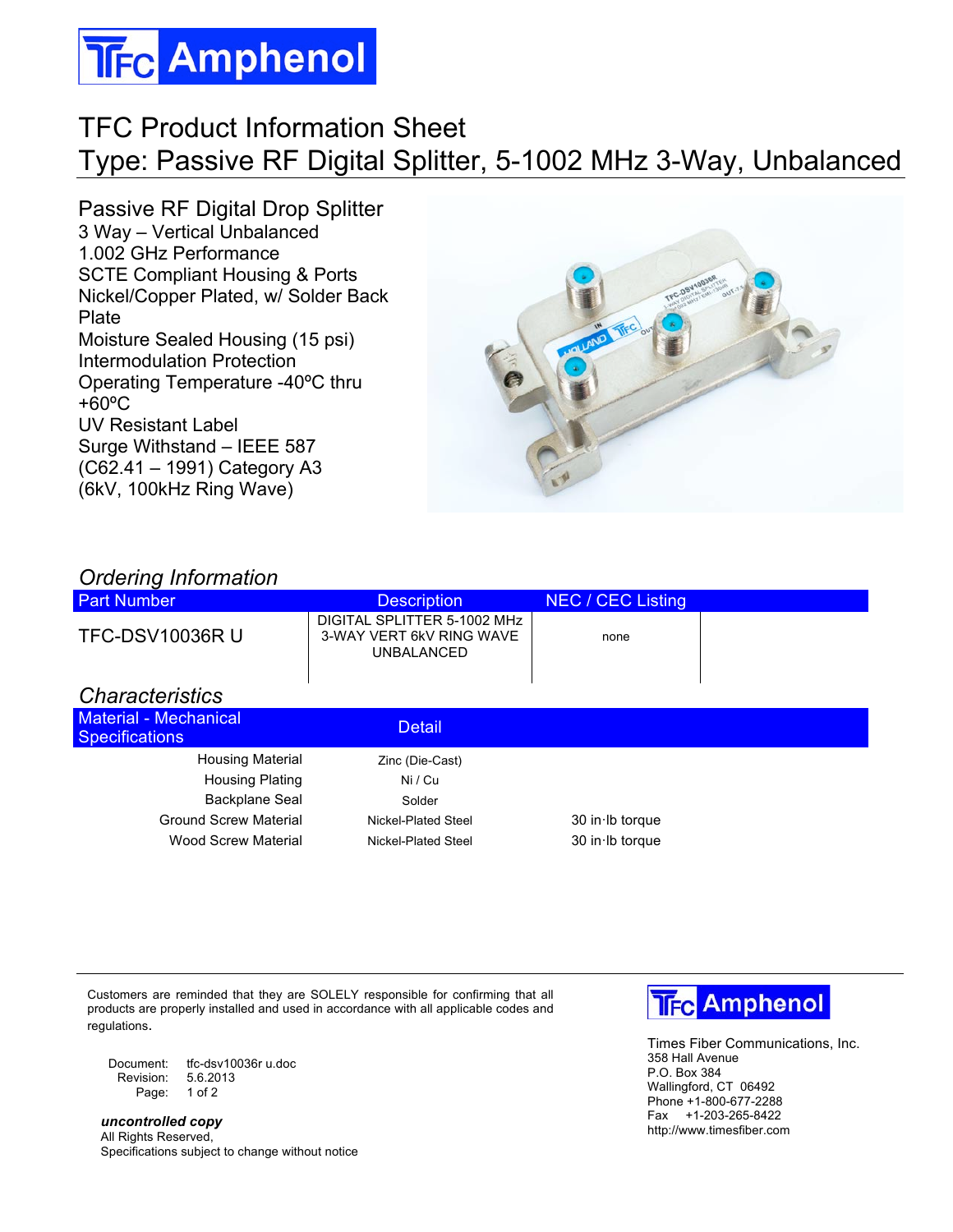## **TFc Amphenol**

## TFC Product Information Sheet Type: Passive RF Digital Splitter, 5-1002 MHz 3-Way, Unbalanced

Passive RF Digital Drop Splitter 3 Way – Vertical Unbalanced 1.002 GHz Performance SCTE Compliant Housing & Ports Nickel/Copper Plated, w/ Solder Back Plate Moisture Sealed Housing (15 psi) Intermodulation Protection Operating Temperature -40ºC thru +60ºC UV Resistant Label Surge Withstand – IEEE 587 (C62.41 – 1991) Category A3 (6kV, 100kHz Ring Wave)



| <b>Ordering Information</b> |
|-----------------------------|
|                             |

| <b>Part Number</b>                                    | <b>Description</b>                                                           | <b>NEC / CEC Listing</b> |  |
|-------------------------------------------------------|------------------------------------------------------------------------------|--------------------------|--|
| <b>TFC-DSV10036R U</b>                                | DIGITAL SPLITTER 5-1002 MHz<br>3-WAY VERT 6kV RING WAVE<br><b>UNBALANCED</b> | none                     |  |
| <b>Characteristics</b>                                |                                                                              |                          |  |
| <b>Material - Mechanical</b><br><b>Specifications</b> | <b>Detail</b>                                                                |                          |  |
| <b>Housing Material</b>                               | Zinc (Die-Cast)                                                              |                          |  |
| <b>Housing Plating</b>                                | Ni / Cu                                                                      |                          |  |
| <b>Backplane Seal</b>                                 | Solder                                                                       |                          |  |
| <b>Ground Screw Material</b>                          | Nickel-Plated Steel                                                          | $30$ in Ib torque        |  |
| Wood Screw Material                                   | Nickel-Plated Steel                                                          | 30 in Ib torque          |  |

Customers are reminded that they are SOLELY responsible for confirming that all products are properly installed and used in accordance with all applicable codes and regulations.

Document: tfc-dsv10036r u.doc<br>Revision: 5.6.2013 Revision: Page: 1 of 2

*uncontrolled copy* All Rights Reserved, Specifications subject to change without notice



Times Fiber Communications, Inc. 358 Hall Avenue P.O. Box 384 Wallingford, CT 06492 Phone +1-800-677-2288 Fax +1-203-265-8422 http://www.timesfiber.com